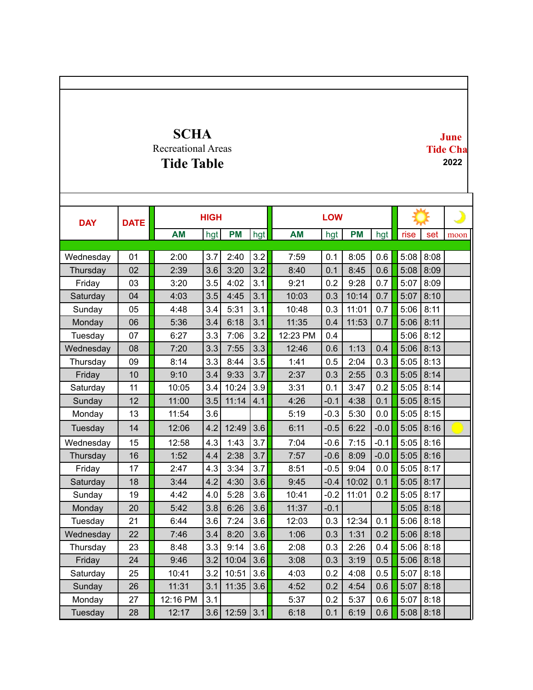## **SCHA** Recreational Areas **Tide Table**

**June Tide Cha 2022**

| <b>DAY</b> | <b>DATE</b> | <b>HIGH</b> |     |           |     |           |        |           |        |      |      |      |
|------------|-------------|-------------|-----|-----------|-----|-----------|--------|-----------|--------|------|------|------|
|            |             | <b>AM</b>   | hgt | <b>PM</b> | hgt | <b>AM</b> | hgt    | <b>PM</b> | hgt    | rise | set  | moon |
|            |             |             |     |           |     |           |        |           |        |      |      |      |
| Wednesday  | 01          | 2:00        | 3.7 | 2:40      | 3.2 | 7:59      | 0.1    | 8:05      | 0.6    | 5:08 | 8:08 |      |
| Thursday   | 02          | 2:39        | 3.6 | 3:20      | 3.2 | 8:40      | 0.1    | 8:45      | 0.6    | 5:08 | 8:09 |      |
| Friday     | 03          | 3:20        | 3.5 | 4:02      | 3.1 | 9:21      | 0.2    | 9:28      | 0.7    | 5:07 | 8:09 |      |
| Saturday   | 04          | 4:03        | 3.5 | 4:45      | 3.1 | 10:03     | 0.3    | 10:14     | 0.7    | 5:07 | 8:10 |      |
| Sunday     | 05          | 4:48        | 3.4 | 5:31      | 3.1 | 10:48     | 0.3    | 11:01     | 0.7    | 5:06 | 8:11 |      |
| Monday     | 06          | 5:36        | 3.4 | 6:18      | 3.1 | 11:35     | 0.4    | 11:53     | 0.7    | 5:06 | 8:11 |      |
| Tuesday    | 07          | 6:27        | 3.3 | 7:06      | 3.2 | 12:23 PM  | 0.4    |           |        | 5:06 | 8:12 |      |
| Wednesday  | 08          | 7:20        | 3.3 | 7:55      | 3.3 | 12:46     | 0.6    | 1:13      | 0.4    | 5:06 | 8:13 |      |
| Thursday   | 09          | 8:14        | 3.3 | 8:44      | 3.5 | 1:41      | 0.5    | 2:04      | 0.3    | 5:05 | 8:13 |      |
| Friday     | 10          | 9:10        | 3.4 | 9:33      | 3.7 | 2:37      | 0.3    | 2:55      | 0.3    | 5:05 | 8:14 |      |
| Saturday   | 11          | 10:05       | 3.4 | 10:24     | 3.9 | 3:31      | 0.1    | 3:47      | 0.2    | 5:05 | 8:14 |      |
| Sunday     | 12          | 11:00       | 3.5 | 11:14     | 4.1 | 4:26      | $-0.1$ | 4:38      | 0.1    | 5:05 | 8:15 |      |
| Monday     | 13          | 11:54       | 3.6 |           |     | 5:19      | $-0.3$ | 5:30      | 0.0    | 5:05 | 8:15 |      |
| Tuesday    | 14          | 12:06       | 4.2 | 12:49     | 3.6 | 6:11      | $-0.5$ | 6:22      | $-0.0$ | 5:05 | 8:16 |      |
| Wednesday  | 15          | 12:58       | 4.3 | 1:43      | 3.7 | 7:04      | $-0.6$ | 7:15      | $-0.1$ | 5:05 | 8:16 |      |
| Thursday   | 16          | 1:52        | 4.4 | 2:38      | 3.7 | 7:57      | $-0.6$ | 8:09      | $-0.0$ | 5:05 | 8:16 |      |
| Friday     | 17          | 2:47        | 4.3 | 3:34      | 3.7 | 8:51      | $-0.5$ | 9:04      | 0.0    | 5:05 | 8:17 |      |
| Saturday   | 18          | 3:44        | 4.2 | 4:30      | 3.6 | 9:45      | $-0.4$ | 10:02     | 0.1    | 5:05 | 8:17 |      |
| Sunday     | 19          | 4:42        | 4.0 | 5:28      | 3.6 | 10:41     | $-0.2$ | 11:01     | 0.2    | 5:05 | 8:17 |      |
| Monday     | 20          | 5:42        | 3.8 | 6:26      | 3.6 | 11:37     | $-0.1$ |           |        | 5:05 | 8:18 |      |
| Tuesday    | 21          | 6:44        | 3.6 | 7:24      | 3.6 | 12:03     | 0.3    | 12:34     | 0.1    | 5:06 | 8:18 |      |
| Wednesday  | 22          | 7:46        | 3.4 | 8:20      | 3.6 | 1:06      | 0.3    | 1:31      | 0.2    | 5:06 | 8:18 |      |
| Thursday   | 23          | 8:48        | 3.3 | 9:14      | 3.6 | 2:08      | 0.3    | 2:26      | 0.4    | 5:06 | 8:18 |      |
| Friday     | 24          | 9:46        | 3.2 | 10:04     | 3.6 | 3:08      | 0.3    | 3:19      | 0.5    | 5:06 | 8:18 |      |
| Saturday   | 25          | 10:41       | 3.2 | 10:51     | 3.6 | 4:03      | 0.2    | 4:08      | 0.5    | 5:07 | 8:18 |      |
| Sunday     | 26          | 11:31       | 3.1 | 11:35     | 3.6 | 4:52      | 0.2    | 4:54      | 0.6    | 5:07 | 8:18 |      |
| Monday     | 27          | 12:16 PM    | 3.1 |           |     | 5:37      | 0.2    | 5:37      | 0.6    | 5:07 | 8:18 |      |
| Tuesday    | 28          | 12:17       | 3.6 | 12:59     | 3.1 | 6:18      | 0.1    | 6:19      | 0.6    | 5:08 | 8:18 |      |